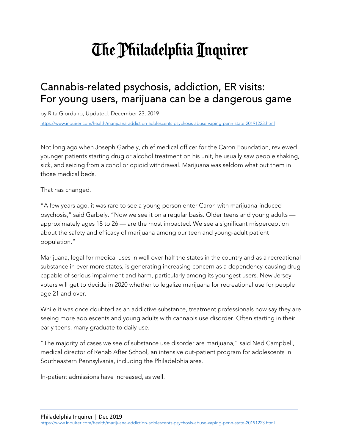# The Philadelphia Inquirer

## Cannabis-related psychosis, addiction, ER visits: For young users, marijuana can be a dangerous game

by Rita Giordano, Updated: December 23, 2019

<https://www.inquirer.com/health/marijuana-addiction-adolescents-psychosis-abuse-vaping-penn-state-20191223.html>

Not long ago when Joseph Garbely, chief medical officer for the Caron Foundation, reviewed younger patients starting drug or alcohol treatment on his unit, he usually saw people shaking, sick, and seizing from alcohol or opioid withdrawal. Marijuana was seldom what put them in those medical beds.

That has changed.

"A few years ago, it was rare to see a young person enter Caron with marijuana-induced psychosis," said Garbely. "Now we see it on a regular basis. Older teens and young adults approximately ages 18 to 26 — are the most impacted. We see a significant misperception about the safety and efficacy of marijuana among our teen and young-adult patient population."

Marijuana, legal for medical uses in well over half the states in the country and as a recreational substance in ever more states, is generating increasing concern as a dependency-causing drug capable of serious impairment and harm, particularly among its youngest users. New Jersey voters will get to decide in 2020 whether to legalize marijuana for recreational use for people age 21 and over.

While it was once doubted as an addictive substance, treatment professionals now say they are seeing more adolescents and young adults with cannabis use disorder. Often starting in their early teens, many graduate to daily use.

"The majority of cases we see of substance use disorder are marijuana," said Ned Campbell, medical director of Rehab After School, an intensive out-patient program for adolescents in Southeastern Pennsylvania, including the Philadelphia area.

In-patient admissions have increased, as well.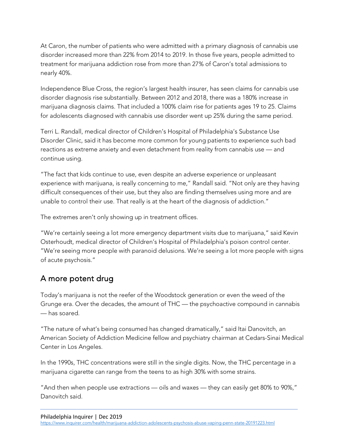At Caron, the number of patients who were admitted with a primary diagnosis of cannabis use disorder increased more than 22% from 2014 to 2019. In those five years, people admitted to treatment for marijuana addiction rose from more than 27% of Caron's total admissions to nearly 40%.

Independence Blue Cross, the region's largest health insurer, has seen claims for cannabis use disorder diagnosis rise substantially. Between 2012 and 2018, there was a 180% increase in marijuana diagnosis claims. That included a 100% claim rise for patients ages 19 to 25. Claims for adolescents diagnosed with cannabis use disorder went up 25% during the same period.

Terri L. Randall, medical director of Children's Hospital of Philadelphia's Substance Use Disorder Clinic, said it has become more common for young patients to experience such bad reactions as extreme anxiety and even detachment from reality from cannabis use — and continue using.

"The fact that kids continue to use, even despite an adverse experience or unpleasant experience with marijuana, is really concerning to me," Randall said. "Not only are they having difficult consequences of their use, but they also are finding themselves using more and are unable to control their use. That really is at the heart of the diagnosis of addiction."

The extremes aren't only showing up in treatment offices.

"We're certainly seeing a lot more emergency department visits due to marijuana," said Kevin Osterhoudt, medical director of Children's Hospital of Philadelphia's poison control center. "We're seeing more people with paranoid delusions. We're seeing a lot more people with signs of acute psychosis."

#### A more potent drug

Today's marijuana is not the reefer of the Woodstock generation or even the weed of the Grunge era. Over the decades, the amount of THC — the psychoactive compound in cannabis — has soared.

"The nature of what's being consumed has changed dramatically," said Itai Danovitch, an American Society of Addiction Medicine fellow and psychiatry chairman at Cedars-Sinai Medical Center in Los Angeles.

In the 1990s, THC concentrations were still in the single digits. Now, the THC percentage in a marijuana cigarette can range from the teens to as high 30% with some strains.

"And then when people use extractions — oils and waxes — they can easily get 80% to 90%," Danovitch said.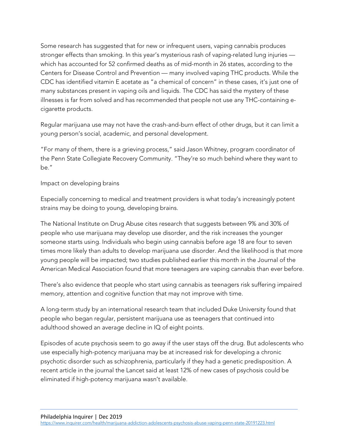Some research has suggested that for new or infrequent users, vaping cannabis produces stronger effects than smoking. In this year's mysterious rash of vaping-related lung injuries which has accounted for 52 confirmed deaths as of mid-month in 26 states, according to the Centers for Disease Control and Prevention — many involved vaping THC products. While the CDC has identified vitamin E acetate as "a chemical of concern" in these cases, it's just one of many substances present in vaping oils and liquids. The CDC has said the mystery of these illnesses is far from solved and has recommended that people not use any THC-containing ecigarette products.

Regular marijuana use may not have the crash-and-burn effect of other drugs, but it can limit a young person's social, academic, and personal development.

"For many of them, there is a grieving process," said Jason Whitney, program coordinator of the Penn State Collegiate Recovery Community. "They're so much behind where they want to be."

#### Impact on developing brains

Especially concerning to medical and treatment providers is what today's increasingly potent strains may be doing to young, developing brains.

The National Institute on Drug Abuse cites research that suggests between 9% and 30% of people who use marijuana may develop use disorder, and the risk increases the younger someone starts using. Individuals who begin using cannabis before age 18 are four to seven times more likely than adults to develop marijuana use disorder. And the likelihood is that more young people will be impacted; two studies published earlier this month in the Journal of the American Medical Association found that more teenagers are vaping cannabis than ever before.

There's also evidence that people who start using cannabis as teenagers risk suffering impaired memory, attention and cognitive function that may not improve with time.

A long-term study by an international research team that included Duke University found that people who began regular, persistent marijuana use as teenagers that continued into adulthood showed an average decline in IQ of eight points.

Episodes of acute psychosis seem to go away if the user stays off the drug. But adolescents who use especially high-potency marijuana may be at increased risk for developing a chronic psychotic disorder such as schizophrenia, particularly if they had a genetic predisposition. A recent article in the journal the Lancet said at least 12% of new cases of psychosis could be eliminated if high-potency marijuana wasn't available.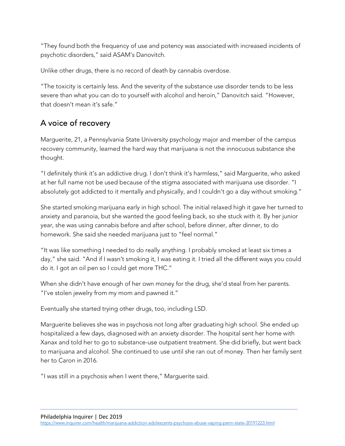"They found both the frequency of use and potency was associated with increased incidents of psychotic disorders," said ASAM's Danovitch.

Unlike other drugs, there is no record of death by cannabis overdose.

"The toxicity is certainly less. And the severity of the substance use disorder tends to be less severe than what you can do to yourself with alcohol and heroin," Danovitch said. "However, that doesn't mean it's safe."

### A voice of recovery

Marguerite, 21, a Pennsylvania State University psychology major and member of the campus recovery community, learned the hard way that marijuana is not the innocuous substance she thought.

"I definitely think it's an addictive drug. I don't think it's harmless," said Marguerite, who asked at her full name not be used because of the stigma associated with marijuana use disorder. "I absolutely got addicted to it mentally and physically, and I couldn't go a day without smoking."

She started smoking marijuana early in high school. The initial relaxed high it gave her turned to anxiety and paranoia, but she wanted the good feeling back, so she stuck with it. By her junior year, she was using cannabis before and after school, before dinner, after dinner, to do homework. She said she needed marijuana just to "feel normal."

"It was like something I needed to do really anything. I probably smoked at least six times a day," she said. "And if I wasn't smoking it, I was eating it. I tried all the different ways you could do it. I got an oil pen so I could get more THC."

When she didn't have enough of her own money for the drug, she'd steal from her parents. "I've stolen jewelry from my mom and pawned it."

Eventually she started trying other drugs, too, including LSD.

Marguerite believes she was in psychosis not long after graduating high school. She ended up hospitalized a few days, diagnosed with an anxiety disorder. The hospital sent her home with Xanax and told her to go to substance-use outpatient treatment. She did briefly, but went back to marijuana and alcohol. She continued to use until she ran out of money. Then her family sent her to Caron in 2016.

"I was still in a psychosis when I went there," Marguerite said.